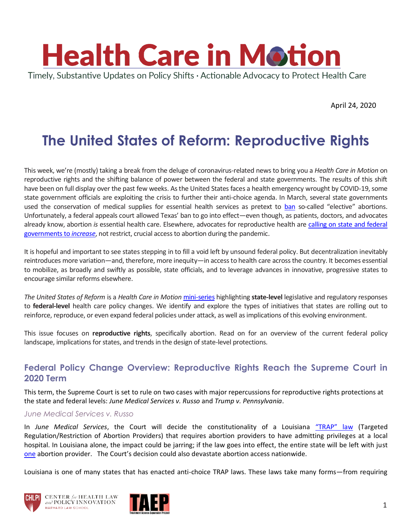

April 24, 2020

# **The United States of Reform: Reproductive Rights**

This week, we're (mostly) taking a break from the deluge of coronavirus-related news to bring you a *Health Care in Motion* on reproductive rights and the shifting balance of power between the federal and state governments. The results of this shift have been on full display over the past few weeks. As the United States faces a health emergency wrought by COVID-19, some state government officials are exploiting the crisis to further their anti-choice agenda. In March, several state governments used the conservation of medical supplies for essential health services as pretext to [ban](https://www.washingtonpost.com/politics/2020/03/31/some-states-coronavirus-measures-are-effectively-banning-abortion/) so-called "elective" abortions. Unfortunately, a federal appeals court allowed Texas' ban to go into effect—even though, as patients, doctors, and advocates already know, abortion *is* essential health care. Elsewhere, advocates for reproductive health are [calling on state and federal](https://ag.ny.gov/sites/default/files/final_ag_letter_hhs_medication_abortion_2020.pdf)  [governments to](https://ag.ny.gov/sites/default/files/final_ag_letter_hhs_medication_abortion_2020.pdf) *increase*, not restrict, crucial access to abortion during the pandemic.

It is hopeful and important to see states stepping in to fill a void left by unsound federal policy. But decentralization inevitably reintroduces more variation—and, therefore, more inequity—in access to health care across the country. It becomes essential to mobilize, as broadly and swiftly as possible, state officials, and to leverage advances in innovative, progressive states to encourage similar reforms elsewhere.

*The United States of Reform* is a *Health Care in Motion* [mini-series](https://www.chlpi.org/wp-content/uploads/2013/12/HCIM_09_06_2018.pdf) highlighting **state-level** legislative and regulatory responses to **federal-level** health care policy changes. We identify and explore the types of initiatives that states are rolling out to reinforce, reproduce, or even expand federal policies under attack, as well as implications of this evolving environment.

This issue focuses on **reproductive rights**, specifically abortion. Read on for an overview of the current federal policy landscape, implications for states, and trends in the design of state-level protections.

### **Federal Policy Change Overview: Reproductive Rights Reach the Supreme Court in 2020 Term**

This term, the Supreme Court is set to rule on two cases with major repercussions for reproductive rights protections at the state and federal levels: *June Medical Services v. Russo* and *Trump v. Pennsylvania*.

#### *June Medical Services v. Russo*

In *June Medical Services*, the Court will decide the constitutionality of a Louisiana ["TRAP" law](https://www.prochoiceamerica.org/issue/trap-laws/) (Targeted Regulation/Restriction of Abortion Providers) that requires abortion providers to have admitting privileges at a local hospital. In Louisiana alone, the impact could be jarring; if the law goes into effect, the entire state will be left with just [one](https://www.nytimes.com/2020/03/03/us/supreme-court-abortion-louisiana.html) abortion provider. The Court's decision could also devastate abortion access nationwide.

Louisiana is one of many states that has enacted anti-choice TRAP laws. These laws take many forms—from requiring





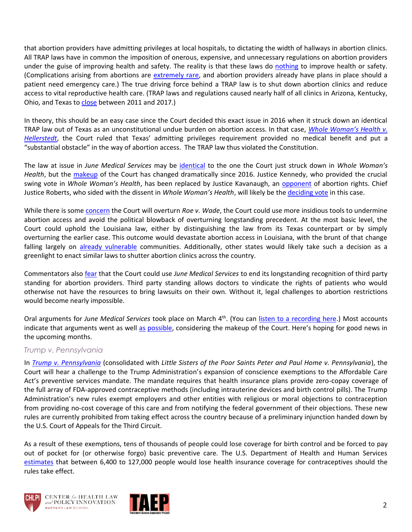that abortion providers have admitting privileges at local hospitals, to dictating the width of hallways in abortion clinics. All TRAP laws have in common the imposition of onerous, expensive, and unnecessary regulations on abortion providers under the guise of improving health and safety. The reality is that these laws do [nothing](https://www.plannedparenthood.org/about-us/newsroom/press-releases/new-study-confirms-abortion-trap-laws-are-unnecessary-dont-improve-patient-safety) to improve health or safety. (Complications arising from abortions are [extremely rare,](https://www.npr.org/sections/health-shots/2018/03/16/593447727/landmark-report-concludes-abortion-is-safe) and abortion providers already have plans in place should a patient need emergency care.) The true driving force behind a TRAP law is to shut down abortion clinics and reduce access to vital reproductive health care. (TRAP laws and regulations caused nearly half of all clinics in Arizona, Kentucky, Ohio, and Texas to [close](https://www.guttmacher.org/gpr/2019/09/us-abortion-rate-continues-drop-once-again-state-abortion-restrictions-are-not-main) between 2011 and 2017.)

In theory, this should be an easy case since the Court decided this exact issue in 2016 when it struck down an identical TRAP law out of Texas as an unconstitutional undue burden on abortion access. In that case, *[Whole Woman's Health v.](https://www.oyez.org/cases/2015/15-274)  [Hellerstedt](https://www.oyez.org/cases/2015/15-274)*, the Court ruled that Texas' admitting privileges requirement provided no medical benefit and put a "substantial obstacle" in the way of abortion access. The TRAP law thus violated the Constitution.

The law at issue in *June Medical Services* may be [identical](https://beta.reproductiverights.org/case/scotus-june-medical-services/) to the one the Court just struck down in *Whole Woman's Health*, but the [makeup](https://www.theguardian.com/law/2020/mar/04/us-supreme-court-louisiana-abortion-rights) of the Court has changed dramatically since 2016. Justice Kennedy, who provided the crucial swing vote in *Whole Woman's Health*, has been replaced by Justice Kavanaugh, an [opponent](https://www.cadc.uscourts.gov/internet/opinions.nsf/C81A5EDEADAE82F2852581C30068AF6E/$file/17-5236-1701167.pdf) of abortion rights. Chief Justice Roberts, who sided with the dissent in *Whole Woman's Health*, will likely be th[e deciding vote](https://www.nbcnews.com/think/opinion/supreme-court-s-new-abortion-case-focuses-spotlight-chief-justice-ncna1144591) in this case.

While there is some [concern](https://www.npr.org/sections/health-shots/2020/01/21/797102280/roe-v-wade-settled-law-or-bad-precedent-states-prep-for-an-overturn) the Court will overturn *Roe v. Wade*, the Court could use more insidious tools to undermine abortion access and avoid the political blowback of overturning longstanding precedent. At the most basic level, the Court could uphold the Louisiana law, either by distinguishing the law from its Texas counterpart or by simply overturning the earlier case. This outcome would devastate abortion access in Louisiana, with the brunt of that change falling largely on [already vulnerable](https://rewire.news/article/2020/03/02/the-dire-risk-louisiana-faces-in-the-june-medical-services-decision/) communities. Additionally, other states would likely take such a decision as a greenlight to enact similar laws to shutter abortion clinics across the country.

Commentators also [fear](https://www.washingtonpost.com/outlook/2020/02/26/abortion-supreme-court-providers/?fbclid=IwAR0SGFatOyF8T1-S0aj_kKUc-e814-2_TNLhnLu6U4vKOQiC_DMIHRe3bfc) that the Court could use *June Medical Services* to end its longstanding recognition of third party standing for abortion providers. Third party standing allows doctors to vindicate the rights of patients who would otherwise not have the resources to bring lawsuits on their own. Without it, legal challenges to abortion restrictions would become nearly impossible.

Oral arguments for *June Medical Services* took place on March 4th. (You can [listen to a recording here.](https://www.supremecourt.gov/oral_arguments/audio/2019/18-1323)) Most accounts indicate that arguments went [as](https://www.cnbc.com/2020/03/04/supreme-court-abortion-case-roberts-signals-he-could-side-with-liberals.html) well as [possible](https://www.vox.com/2020/3/4/21164699/abortion-supreme-court-hopeful-june-medical-services-russo-chief-justice-roberts), considering the makeup of the Court. Here's hoping for good news in the upcoming months.

#### *Trump v. Pennsylvania*

In *[Trump v. Pennsylvania](https://www.scotusblog.com/case-files/cases/trump-v-pennsylvania/)* (consolidated with *Little Sisters of the Poor Saints Peter and Paul Home v. Pennsylvania*), the Court will hear a challenge to the Trump Administration's expansion of conscience exemptions to the Affordable Care Act's preventive services mandate. The mandate requires that health insurance plans provide zero-copay coverage of the full array of FDA-approved contraceptive methods (including intrauterine devices and birth control pills). The Trump Administration's new rules exempt employers and other entities with religious or moral objections to contraception from providing no-cost coverage of this care and from notifying the federal government of their objections. These new rules are currently prohibited from taking effect across the country because of a preliminary injunction handed down by the U.S. Court of Appeals for the Third Circuit.

As a result of these exemptions, tens of thousands of people could lose coverage for birth control and be forced to pay out of pocket for (or otherwise forgo) basic preventive care. The U.S. Department of Health and Human Services [estimates](https://wayback.archive-it.org/3926/20191016193511/https:/www.hhs.gov/about/news/2018/11/07/fact-sheet-final-rules-on-religious-and-moral-exemptions-and-accommodation-for-coverage-of-certain-preventive-services-under-affordable-care-act.html) that between 6,400 to 127,000 people would lose health insurance coverage for contraceptives should the rules take effect.





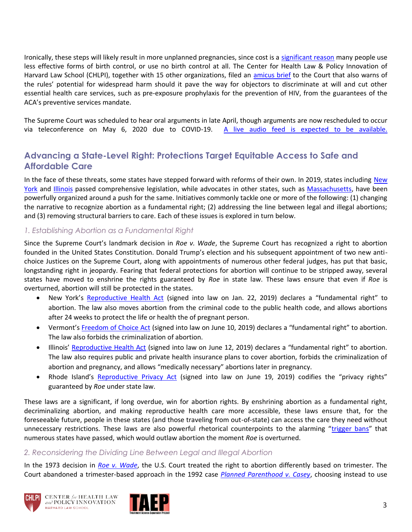Ironically, these steps will likely result in more unplanned pregnancies, since cost is a [significant reason](https://www.guttmacher.org/evidence-you-can-use/insurance-coverage-contraception) many people use less effective forms of birth control, or use no birth control at all. The Center for Health Law & Policy Innovation of Harvard Law School (CHLPI), together with 15 other organizations, filed an [amicus brief](https://www.supremecourt.gov/DocketPDF/19/19-431/141062/20200407174940988_39615%20pdf%20Costello.pdf) to the Court that also warns of the rules' potential for widespread harm should it pave the way for objectors to discriminate at will and cut other essential health care services, such as pre-exposure prophylaxis for the prevention of HIV, from the guarantees of the ACA's preventive services mandate.

The Supreme Court was scheduled to hear oral arguments in late April, though arguments are now rescheduled to occur via teleconference on May 6, 2020 due to COVID-19. [A live audio feed is expected to be available.](https://www.attorneygeneral.gov/taking-action/press-releases/pa-v-trump-ag-shapiro-announces-supreme-court-argument-to-protect-womens-right-to-contraception-set-for-may-6th/)

## **Advancing a State-Level Right: Protections Target Equitable Access to Safe and Affordable Care**

In the face of these threats, some states have stepped forward with reforms of their own. In 2019, states including New [York](https://bit.ly/3eOQPxV) and [Illinois](https://www.vox.com/2019/6/1/18648506/illinois-abortion-bill-2019-fundamental-right-repeal-restrictions) passed comprehensive legislation, while advocates in other states, such as [Massachusetts,](https://www.aclum.org/en/legislation/roe-act) have been powerfully organized around a push for the same. Initiatives commonly tackle one or more of the following: (1) changing the narrative to recognize abortion as a fundamental right; (2) addressing the line between legal and illegal abortions; and (3) removing structural barriers to care. Each of these issues is explored in turn below.

#### *1. Establishing Abortion as a Fundamental Right*

Since the Supreme Court's landmark decision in *Roe v. Wade*, the Supreme Court has recognized a right to abortion founded in the United States Constitution. Donald Trump's election and his subsequent appointment of two new antichoice Justices on the Supreme Court, along with appointments of numerous other federal judges, has put that basic, longstanding right in jeopardy. Fearing that federal protections for abortion will continue to be stripped away, several states have moved to enshrine the rights guaranteed by *Roe* in state law. These laws ensure that even if *Roe* is overturned, abortion will still be protected in the states.

- New York's [Reproductive Health Act](https://legislation.nysenate.gov/pdf/bills/2019/S240) (signed into law on Jan. 22, 2019) declares a "fundamental right" to abortion. The law also moves abortion from the criminal code to the public health code, and allows abortions after 24 weeks to protect the life or health the of pregnant person.
- Vermont's [Freedom of Choice Act](https://legislature.vermont.gov/bill/status/2020/H.57) (signed into law on June 10, 2019) declares a "fundamental right" to abortion. The law also forbids the criminalization of abortion.
- Illinois' [Reproductive Health Act](http://www.ilga.gov/legislation/101/SB/PDF/10100SB0025lv.pdf) (signed into law on June 12, 2019) declares a "fundamental right" to abortion. The law also requires public and private health insurance plans to cover abortion, forbids the criminalization of abortion and pregnancy, and allows "medically necessary" abortions later in pregnancy.
- Rhode Island's [Reproductive Privacy Act](http://webserver.rilin.state.ri.us/BillText/BillText19/HouseText19/H5125B.pdf) (signed into law on June 19, 2019) codifies the "privacy rights" guaranteed by *Roe* under state law.

These laws are a significant, if long overdue, win for abortion rights. By enshrining abortion as a fundamental right, decriminalizing abortion, and making reproductive health care more accessible, these laws ensure that, for the foreseeable future, people in these states (and those traveling from out-of-state) can access the care they need without unnecessary restrictions. These laws are also powerful rhetorical counterpoints to the alarming "[trigger bans](https://www.vice.com/en_us/article/nea7e7/which-states-will-ban-abortion-if-roe-v-wade-is-overturned)" that numerous states have passed, which would outlaw abortion the moment *Roe* is overturned.

#### *2. Reconsidering the Dividing Line Between Legal and Illegal Abortion*

In the 1973 decision in *[Roe v. Wade](https://www.oyez.org/cases/1971/70-18)*, the U.S. Court treated the right to abortion differently based on trimester. The Court abandoned a trimester-based approach in the 1992 case *[Planned Parenthood v. Casey](https://www.oyez.org/cases/1991/91-744)*, choosing instead to use



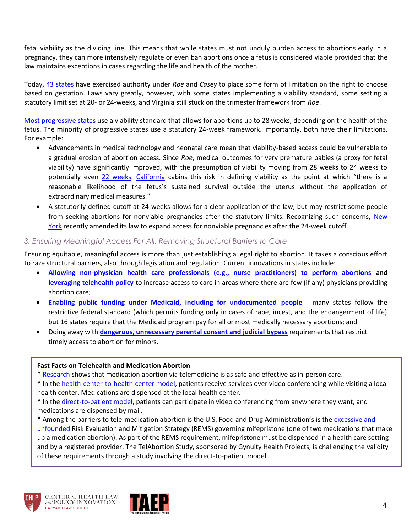fetal viability as the dividing line. This means that while states must not unduly burden access to abortions early in a pregnancy, they can more intensively regulate or even ban abortions once a fetus is considered viable provided that the law maintains exceptions in cases regarding the life and health of the mother.

Today, [43 states](https://www.guttmacher.org/state-policy/explore/overview-abortion-laws) have exercised authority under *Roe* and *Casey* to place some form of limitation on the right to choose based on gestation. Laws vary greatly, however, with some states implementing a viability standard, some setting a statutory limit set at 20- or 24-weeks, and Virginia still stuck on the trimester framework from *Roe*.

[Most progressive states](https://www.businessinsider.com/latest-point-in-pregnancy-you-can-get-abortion-in-50-states-2019-5) use a viability standard that allows for abortions up to 28 weeks, depending on the health of the fetus. The minority of progressive states use a statutory 24-week framework. Importantly, both have their limitations. For example:

- Advancements in medical technology and neonatal care mean that viability-based access could be vulnerable to a gradual erosion of abortion access. Since *Roe*, medical outcomes for very premature babies (a proxy for fetal viability) have significantly improved, with the presumption of viability moving from 28 weeks to 24 weeks to potentially even [22 weeks.](https://www.nytimes.com/2015/05/07/health/premature-babies-22-weeks-viability-study.html?_r=0) [California](https://bit.ly/3bug8mW) cabins this risk in defining viability as the point at which "there is a reasonable likelihood of the fetus's sustained survival outside the uterus without the application of extraordinary medical measures."
- A statutorily-defined cutoff at 24-weeks allows for a clear application of the law, but may restrict some people from seeking abortions for nonviable pregnancies after the statutory limits. Recognizing such concerns, New [York](https://bit.ly/3eOQPxV) recently amended its law to expand access for nonviable pregnancies after the 24-week cutoff.

#### *3. Ensuring Meaningful Access For All: Removing Structural Barriers to Care*

Ensuring equitable, meaningful access is more than just establishing a legal right to abortion. It takes a conscious effort to raze structural barriers, also through legislation and regulation. Current innovations in states include:

- **Allowing [non-physician health care professionals \(e.g., nurse practitioners\) to perform abortions](https://www.nytimes.com/2019/06/10/us/maine-abortion-bill.html) and [leveraging telehealth policy](https://www.guttmacher.org/gpr/2019/05/improving-access-abortion-telehealth)** to increase access to care in areas where there are few (if any) physicians providing abortion care;
- **Enabling [public funding under Medicaid, including for undocumented people](https://www.guttmacher.org/state-policy/explore/state-funding-abortion-under-medicaid)** many states follow the restrictive federal standard (which permits funding only in cases of rape, incest, and the endangerment of life) but 16 states require that the Medicaid program pay for all or most medically necessary abortions; and
- Doing away with **dangerous, unnecessary [parental consent and judicial bypass](https://www.plannedparenthoodaction.org/planned-parenthood-advocacy-fund-massachusetts-inc/pressroom/new-study-finds-massachusetts-judicial-bypass-process-delays-access-to-abortion)** requirements that restrict timely access to abortion for minors.

#### **Fast Facts on Telehealth and Medication Abortion**

- \* [Research](https://www.plannedparenthood.org/about-us/newsroom/press-releases/new-multi-state-study-shows-telemedicine-abortion-is-as-safe-and-effective-as-in-person-care) shows that medication abortion via telemedicine is as safe and effective as in-person care.
- **\*** In th[e health-center-to-health-center model,](https://www.youtube.com/watch?v=4Th5tRZj8yU) patients receive services over video conferencing while visiting a local health center. Medications are dispensed at the local health center.
- **\*** In th[e direct-to-patient model,](https://telabortion.org/) patients can participate in video conferencing from anywhere they want, and medications are dispensed by mail.

**\*** Among the barriers to tele-medication abortion is the U.S. Food and Drug Administration's is the [excessive and](https://www.contraceptionjournal.org/article/S0010-7824(19)30176-3/pdf)  [unfounded](https://www.contraceptionjournal.org/article/S0010-7824(19)30176-3/pdf) Risk Evaluation and Mitigation Strategy (REMS) governing mifepristone (one of two medications that make up a medication abortion). As part of the REMS requirement, mifepristone must be dispensed in a health care setting and by a registered provider. The TelAbortion Study, sponsored by Gynuity Health Projects, is challenging the validity of these requirements through a study involving the direct-to-patient model.